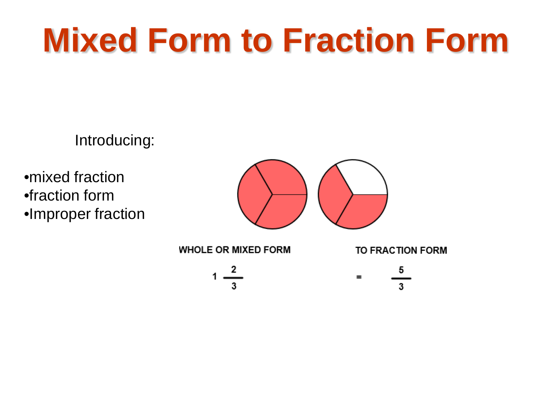Introducing:

•mixed fraction •fraction form •Improper fraction



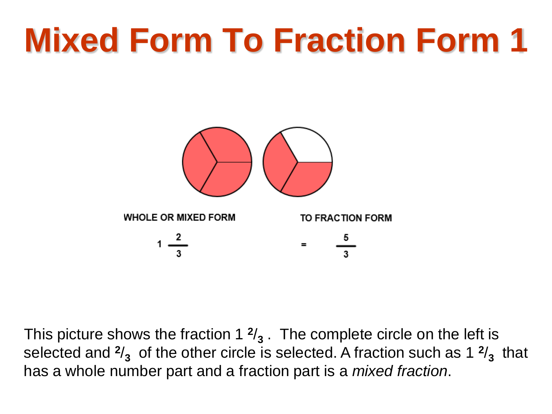

This picture shows the fraction 1  $\frac{2}{3}$ . The complete circle on the left is selected and  $\frac{2}{3}$  of the other circle is selected. A fraction such as 1  $\frac{2}{3}$  that has a whole number part and a fraction part is a *mixed fraction*.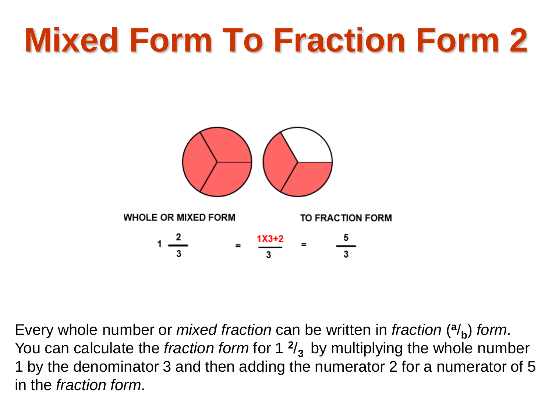

Every whole number or *mixed fraction* can be written in *fraction* (**<sup>a</sup>**/**b**) *form*. You can calculate the *fraction form* for 1 **<sup>2</sup>**/**3** by multiplying the whole number 1 by the denominator 3 and then adding the numerator 2 for a numerator of 5 in the *fraction form*.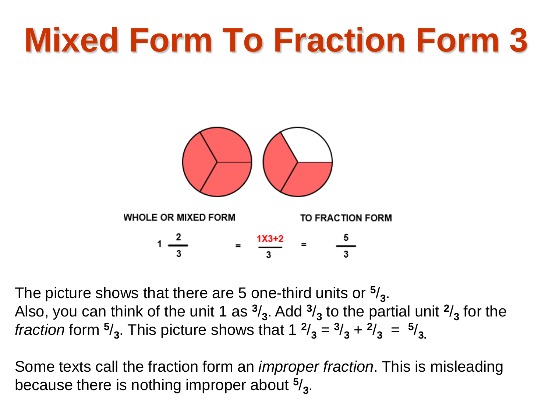

The picture shows that there are 5 one-third units or **<sup>5</sup>**/**3**. Also, you can think of the unit 1 as  $\frac{3}{3}$ . Add  $\frac{3}{3}$  to the partial unit  $\frac{2}{3}$  for the *fraction* form  $\frac{5}{3}$ . This picture shows that  $\frac{12}{3} = \frac{3}{3} + \frac{2}{3} = \frac{5}{3}$ .

Some texts call the fraction form an *improper fraction*. This is misleading because there is nothing improper about **<sup>5</sup>**/**3**.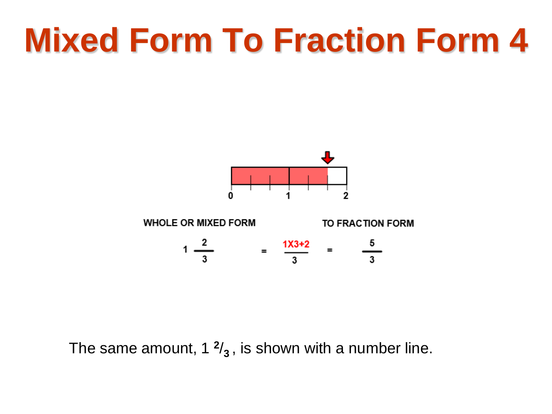

The same amount, 1  $\frac{2}{3}$ , is shown with a number line.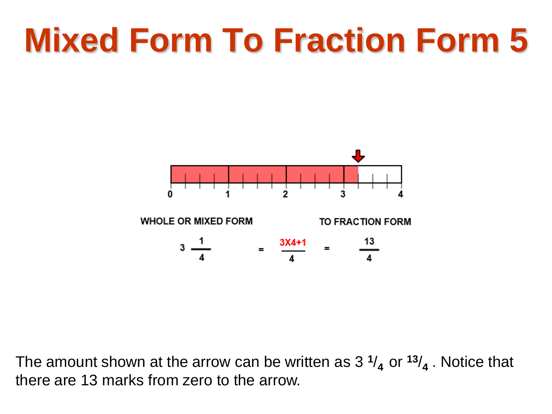

The amount shown at the arrow can be written as 3 **<sup>1</sup>**/**4** or **<sup>13</sup>**/**<sup>4</sup>** . Notice that there are 13 marks from zero to the arrow.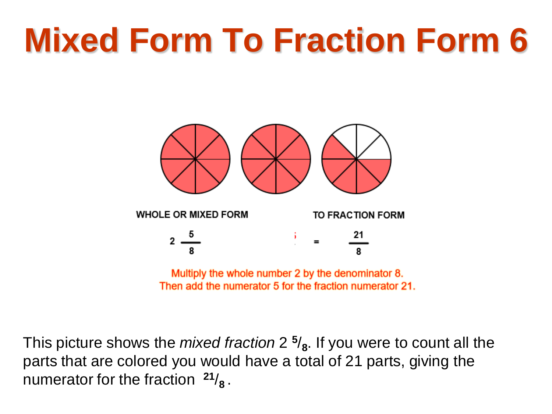

Multiply the whole number 2 by the denominator 8. Then add the numerator 5 for the fraction numerator 21.

This picture shows the *mixed fraction* 2 **<sup>5</sup>**/**8**. If you were to count all the parts that are colored you would have a total of 21 parts, giving the numerator for the fraction **<sup>21</sup>**/**8** .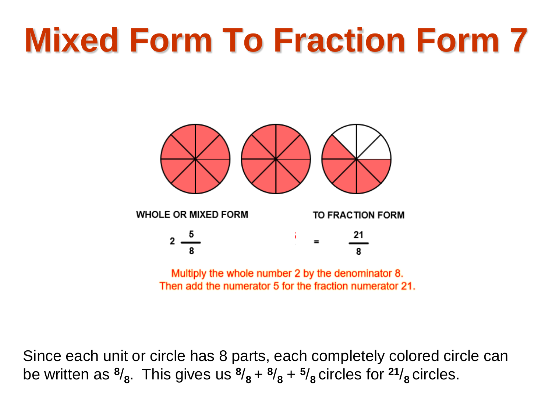

Multiply the whole number 2 by the denominator 8. Then add the numerator 5 for the fraction numerator 21.

Since each unit or circle has 8 parts, each completely colored circle can be written as  $^{8}/_8$ . This gives us  $^{8}/_8$  +  $^{8}/_8$  +  $^{5}/_8$  circles for  $^{21}/_8$  circles.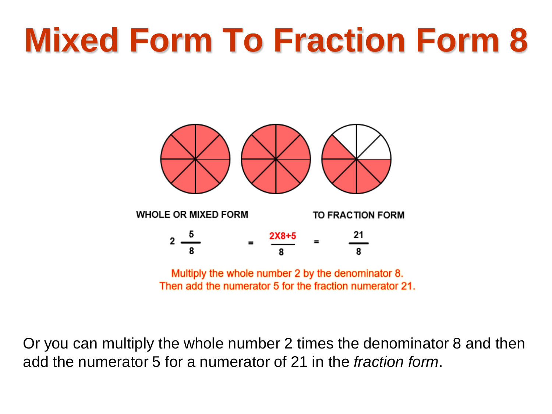

Multiply the whole number 2 by the denominator 8. Then add the numerator 5 for the fraction numerator 21.

Or you can multiply the whole number 2 times the denominator 8 and then add the numerator 5 for a numerator of 21 in the *fraction form*.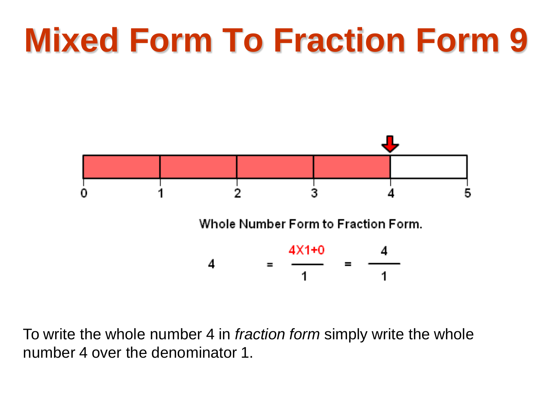

To write the whole number 4 in *fraction form* simply write the whole number 4 over the denominator 1.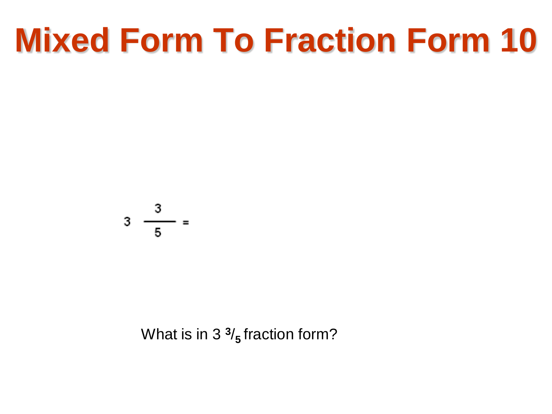$$
3\frac{3}{5} =
$$

What is in 3 **<sup>3</sup>**/**5** fraction form?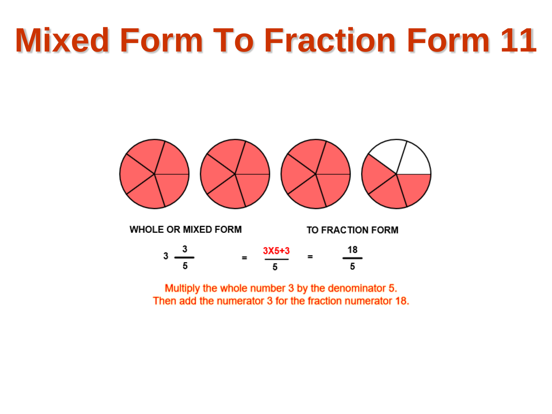

Multiply the whole number 3 by the denominator 5. Then add the numerator 3 for the fraction numerator 18.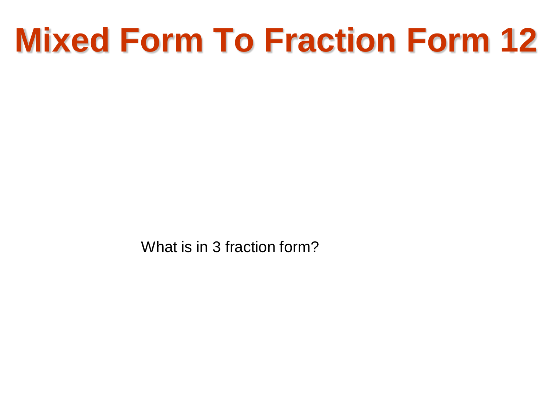What is in 3 fraction form?